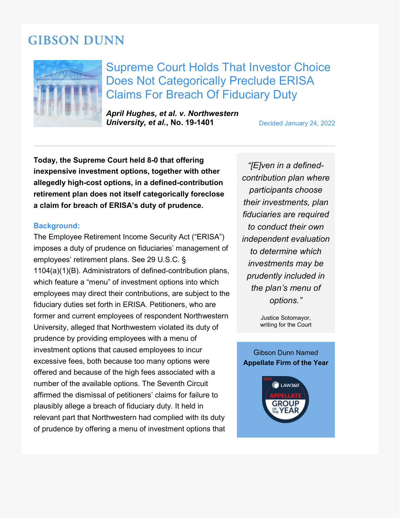# **GIBSON DUNN**



Supreme Court Holds That Investor Choice Does Not Categorically Preclude ERISA Claims For Breach Of Fiduciary Duty

*April Hughes, et al. v. Northwestern*  **University, et al., No. 19-1401** Decided January 24, 2022

**Today, the Supreme Court held 8-0 that offering inexpensive investment options, together with other allegedly high-cost options, in a defined-contribution retirement plan does not itself categorically foreclose a claim for breach of ERISA's duty of prudence.**

### **Background:**

The Employee Retirement Income Security Act ("ERISA") imposes a duty of prudence on fiduciaries' management of employees' retirement plans. See 29 U.S.C. § 1104(a)(1)(B). Administrators of defined-contribution plans, which feature a "menu" of investment options into which employees may direct their contributions, are subject to the fiduciary duties set forth in ERISA. Petitioners, who are former and current employees of respondent Northwestern University, alleged that Northwestern violated its duty of prudence by providing employees with a menu of investment options that caused employees to incur excessive fees, both because too many options were offered and because of the high fees associated with a number of the available options. The Seventh Circuit affirmed the dismissal of petitioners' claims for failure to plausibly allege a breach of fiduciary duty. It held in relevant part that Northwestern had complied with its duty of prudence by offering a menu of investment options that

*"[E]ven in a definedcontribution plan where participants choose their investments, plan fiduciaries are required to conduct their own independent evaluation to determine which investments may be prudently included in the plan's menu of options."*

> Justice Sotomayor, writing for the Court

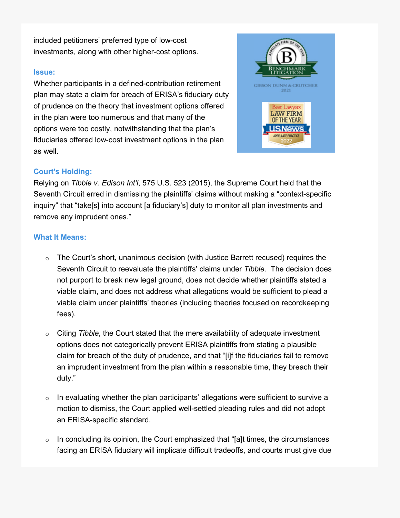included petitioners' preferred type of low-cost investments, along with other higher-cost options.

## **Issue:**

Whether participants in a defined-contribution retirement plan may state a claim for breach of ERISA's fiduciary duty of prudence on the theory that investment options offered in the plan were too numerous and that many of the options were too costly, notwithstanding that the plan's fiduciaries offered low-cost investment options in the plan as well.



## **Court's Holding:**

Relying on *Tibble v. Edison Int'l*, 575 U.S. 523 (2015), the Supreme Court held that the Seventh Circuit erred in dismissing the plaintiffs' claims without making a "context-specific inquiry" that "take[s] into account [a fiduciary's] duty to monitor all plan investments and remove any imprudent ones."

## **What It Means:**

- $\circ$  The Court's short, unanimous decision (with Justice Barrett recused) requires the Seventh Circuit to reevaluate the plaintiffs' claims under *Tibble*. The decision does not purport to break new legal ground, does not decide whether plaintiffs stated a viable claim, and does not address what allegations would be sufficient to plead a viable claim under plaintiffs' theories (including theories focused on recordkeeping fees).
- o Citing *Tibble*, the Court stated that the mere availability of adequate investment options does not categorically prevent ERISA plaintiffs from stating a plausible claim for breach of the duty of prudence, and that "[i]f the fiduciaries fail to remove an imprudent investment from the plan within a reasonable time, they breach their duty."
- $\circ$  In evaluating whether the plan participants' allegations were sufficient to survive a motion to dismiss, the Court applied well-settled pleading rules and did not adopt an ERISA-specific standard.
- $\circ$  In concluding its opinion, the Court emphasized that "[a]t times, the circumstances facing an ERISA fiduciary will implicate difficult tradeoffs, and courts must give due